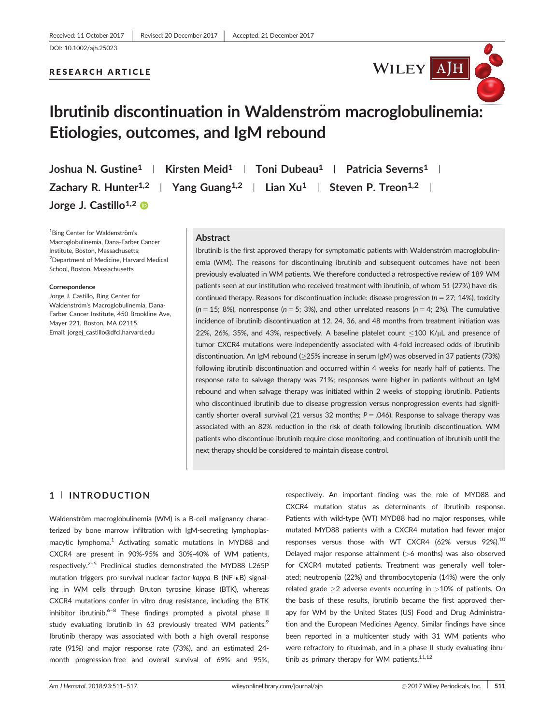DOI: 10.1002/ajh.25023

## RESEARCH ARTICLE



# Ibrutinib discontinuation in Waldenström macroglobulinemia: Etiologies, outcomes, and IgM rebound

Joshua N. Gustine<sup>1</sup> | Kirsten Meid<sup>1</sup> | Toni Dubeau<sup>1</sup> | Patricia Severns<sup>1</sup> | Zachary R. Hunter<sup>1,2</sup> | Yang Guang<sup>1,2</sup> | Lian Xu<sup>1</sup> | Steven P. Treon<sup>1,2</sup> | Jorge J. Castillo<sup>1,2</sup>

<sup>1</sup>Bing Center for Waldenström's Macroglobulinemia, Dana-Farber Cancer Institute, Boston, Massachusetts; 2 Department of Medicine, Harvard Medical School, Boston, Massachusetts

#### Correspondence

Jorge J. Castillo, Bing Center for Waldenström's Macroglobulinemia, Dana-Farber Cancer Institute, 450 Brookline Ave, Mayer 221, Boston, MA 02115. Email: jorgej\_castillo@dfci.harvard.edu

#### Abstract

Ibrutinib is the first approved therapy for symptomatic patients with Waldenström macroglobulinemia (WM). The reasons for discontinuing ibrutinib and subsequent outcomes have not been previously evaluated in WM patients. We therefore conducted a retrospective review of 189 WM patients seen at our institution who received treatment with ibrutinib, of whom 51 (27%) have discontinued therapy. Reasons for discontinuation include: disease progression ( $n = 27$ ; 14%), toxicity  $(n = 15; 8\%)$ , nonresponse  $(n = 5; 3\%)$ , and other unrelated reasons  $(n = 4; 2\%)$ . The cumulative incidence of ibrutinib discontinuation at 12, 24, 36, and 48 months from treatment initiation was 22%, 26%, 35%, and 43%, respectively. A baseline platelet count  $\lt 100$  K/ $\mu$ L and presence of tumor CXCR4 mutations were independently associated with 4-fold increased odds of ibrutinib discontinuation. An IgM rebound (25% increase in serum IgM) was observed in 37 patients (73%) following ibrutinib discontinuation and occurred within 4 weeks for nearly half of patients. The response rate to salvage therapy was 71%; responses were higher in patients without an IgM rebound and when salvage therapy was initiated within 2 weeks of stopping ibrutinib. Patients who discontinued ibrutinib due to disease progression versus nonprogression events had significantly shorter overall survival (21 versus 32 months;  $P = .046$ ). Response to salvage therapy was associated with an 82% reduction in the risk of death following ibrutinib discontinuation. WM patients who discontinue ibrutinib require close monitoring, and continuation of ibrutinib until the next therapy should be considered to maintain disease control.

# 1 <sup>|</sup> INTRODUCTION

Waldenström macroglobulinemia (WM) is a B-cell malignancy characterized by bone marrow infiltration with IgM-secreting lymphoplasmacytic lymphoma.<sup>1</sup> Activating somatic mutations in MYD88 and CXCR4 are present in 90%-95% and 30%-40% of WM patients, respectively.<sup>2–5</sup> Preclinical studies demonstrated the MYD88 L265P mutation triggers pro-survival nuclear factor-kappa B (NF-KB) signaling in WM cells through Bruton tyrosine kinase (BTK), whereas CXCR4 mutations confer in vitro drug resistance, including the BTK inhibitor ibrutinib.<sup>6–8</sup> These findings prompted a pivotal phase II study evaluating ibrutinib in 63 previously treated WM patients.<sup>9</sup> Ibrutinib therapy was associated with both a high overall response rate (91%) and major response rate (73%), and an estimated 24 month progression-free and overall survival of 69% and 95%, respectively. An important finding was the role of MYD88 and CXCR4 mutation status as determinants of ibrutinib response. Patients with wild-type (WT) MYD88 had no major responses, while mutated MYD88 patients with a CXCR4 mutation had fewer major responses versus those with WT CXCR4 (62% versus 92%).<sup>10</sup> Delayed major response attainment (>6 months) was also observed for CXCR4 mutated patients. Treatment was generally well tolerated; neutropenia (22%) and thrombocytopenia (14%) were the only related grade  $\geq 2$  adverse events occurring in  $>10\%$  of patients. On the basis of these results, ibrutinib became the first approved therapy for WM by the United States (US) Food and Drug Administration and the European Medicines Agency. Similar findings have since been reported in a multicenter study with 31 WM patients who were refractory to rituximab, and in a phase II study evaluating ibrutinib as primary therapy for WM patients. $11,12$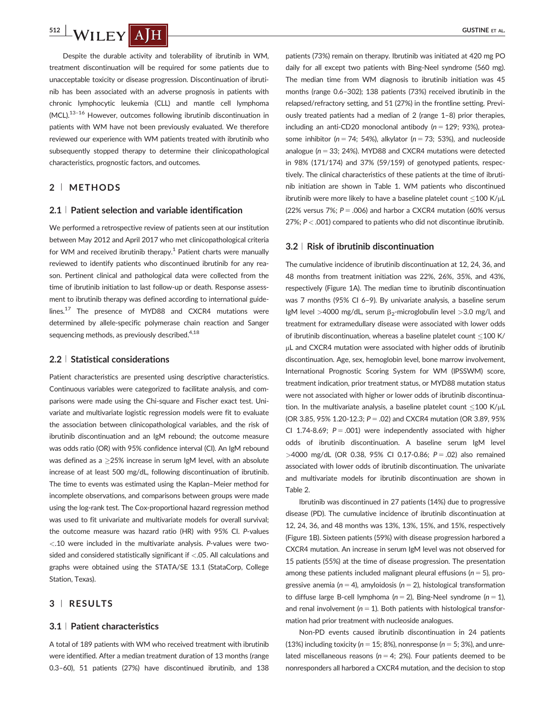Despite the durable activity and tolerability of ibrutinib in WM, treatment discontinuation will be required for some patients due to unacceptable toxicity or disease progression. Discontinuation of ibrutinib has been associated with an adverse prognosis in patients with chronic lymphocytic leukemia (CLL) and mantle cell lymphoma (MCL).13–<sup>16</sup> However, outcomes following ibrutinib discontinuation in patients with WM have not been previously evaluated. We therefore reviewed our experience with WM patients treated with ibrutinib who subsequently stopped therapy to determine their clinicopathological characteristics, prognostic factors, and outcomes.

# 2 <sup>|</sup> METHODS

#### 2.1 <sup>|</sup> Patient selection and variable identification

We performed a retrospective review of patients seen at our institution between May 2012 and April 2017 who met clinicopathological criteria for WM and received ibrutinib therapy.<sup>1</sup> Patient charts were manually reviewed to identify patients who discontinued ibrutinib for any reason. Pertinent clinical and pathological data were collected from the time of ibrutinib initiation to last follow-up or death. Response assessment to ibrutinib therapy was defined according to international guidelines.<sup>17</sup> The presence of MYD88 and CXCR4 mutations were determined by allele-specific polymerase chain reaction and Sanger sequencing methods, as previously described.<sup>4,18</sup>

#### 2.2 <sup>|</sup> Statistical considerations

Patient characteristics are presented using descriptive characteristics. Continuous variables were categorized to facilitate analysis, and comparisons were made using the Chi-square and Fischer exact test. Univariate and multivariate logistic regression models were fit to evaluate the association between clinicopathological variables, and the risk of ibrutinib discontinuation and an IgM rebound; the outcome measure was odds ratio (OR) with 95% confidence interval (CI). An IgM rebound was defined as a  $\geq$ 25% increase in serum IgM level, with an absolute increase of at least 500 mg/dL, following discontinuation of ibrutinib. The time to events was estimated using the Kaplan–Meier method for incomplete observations, and comparisons between groups were made using the log-rank test. The Cox-proportional hazard regression method was used to fit univariate and multivariate models for overall survival; the outcome measure was hazard ratio (HR) with 95% CI. P-values <.10 were included in the multivariate analysis. P-values were twosided and considered statistically significant if <.05. All calculations and graphs were obtained using the STATA/SE 13.1 (StataCorp, College Station, Texas).

## 3 <sup>|</sup> RESULTS

#### 3.1 <sup>|</sup> Patient characteristics

A total of 189 patients with WM who received treatment with ibrutinib were identified. After a median treatment duration of 13 months (range 0.3–60), 51 patients (27%) have discontinued ibrutinib, and 138

patients (73%) remain on therapy. Ibrutinib was initiated at 420 mg PO daily for all except two patients with Bing-Neel syndrome (560 mg). The median time from WM diagnosis to ibrutinib initiation was 45 months (range 0.6–302); 138 patients (73%) received ibrutinib in the relapsed/refractory setting, and 51 (27%) in the frontline setting. Previously treated patients had a median of 2 (range 1–8) prior therapies, including an anti-CD20 monoclonal antibody ( $n = 129$ ; 93%), proteasome inhibitor ( $n = 74$ ; 54%), alkylator ( $n = 73$ ; 53%), and nucleoside analogue ( $n = 33$ ; 24%). MYD88 and CXCR4 mutations were detected in 98% (171/174) and 37% (59/159) of genotyped patients, respectively. The clinical characteristics of these patients at the time of ibrutinib initiation are shown in Table 1. WM patients who discontinued ibrutinib were more likely to have a baseline platelet count  $\leq$ 100 K/ $\mu$ L (22% versus 7%;  $P = .006$ ) and harbor a CXCR4 mutation (60% versus 27%;  $P < .001$ ) compared to patients who did not discontinue ibrutinib.

## 3.2 <sup>|</sup> Risk of ibrutinib discontinuation

The cumulative incidence of ibrutinib discontinuation at 12, 24, 36, and 48 months from treatment initiation was 22%, 26%, 35%, and 43%, respectively (Figure 1A). The median time to ibrutinib discontinuation was 7 months (95% CI 6–9). By univariate analysis, a baseline serum IgM level >4000 mg/dL, serum  $\beta_2$ -microglobulin level >3.0 mg/l, and treatment for extramedullary disease were associated with lower odds of ibrutinib discontinuation, whereas a baseline platelet count <100 K/  $\mu$ L and CXCR4 mutation were associated with higher odds of ibrutinib discontinuation. Age, sex, hemoglobin level, bone marrow involvement, International Prognostic Scoring System for WM (IPSSWM) score, treatment indication, prior treatment status, or MYD88 mutation status were not associated with higher or lower odds of ibrutinib discontinuation. In the multivariate analysis, a baseline platelet count  $\leq$ 100 K/ $\mu$ L (OR 3.85, 95% 1.20-12.3;  $P = .02$ ) and CXCR4 mutation (OR 3.89, 95% CI 1.74-8.69;  $P = .001$ ) were independently associated with higher odds of ibrutinib discontinuation. A baseline serum IgM level  $>4000$  mg/dL (OR 0.38, 95% CI 0.17-0.86; P = .02) also remained associated with lower odds of ibrutinib discontinuation. The univariate and multivariate models for ibrutinib discontinuation are shown in Table 2.

Ibrutinib was discontinued in 27 patients (14%) due to progressive disease (PD). The cumulative incidence of ibrutinib discontinuation at 12, 24, 36, and 48 months was 13%, 13%, 15%, and 15%, respectively (Figure 1B). Sixteen patients (59%) with disease progression harbored a CXCR4 mutation. An increase in serum IgM level was not observed for 15 patients (55%) at the time of disease progression. The presentation among these patients included malignant pleural effusions ( $n = 5$ ), progressive anemia ( $n = 4$ ), amyloidosis ( $n = 2$ ), histological transformation to diffuse large B-cell lymphoma ( $n = 2$ ), Bing-Neel syndrome ( $n = 1$ ), and renal involvement ( $n = 1$ ). Both patients with histological transformation had prior treatment with nucleoside analogues.

Non-PD events caused ibrutinib discontinuation in 24 patients (13%) including toxicity ( $n = 15$ ; 8%), nonresponse ( $n = 5$ ; 3%), and unrelated miscellaneous reasons ( $n = 4$ ; 2%). Four patients deemed to be nonresponders all harbored a CXCR4 mutation, and the decision to stop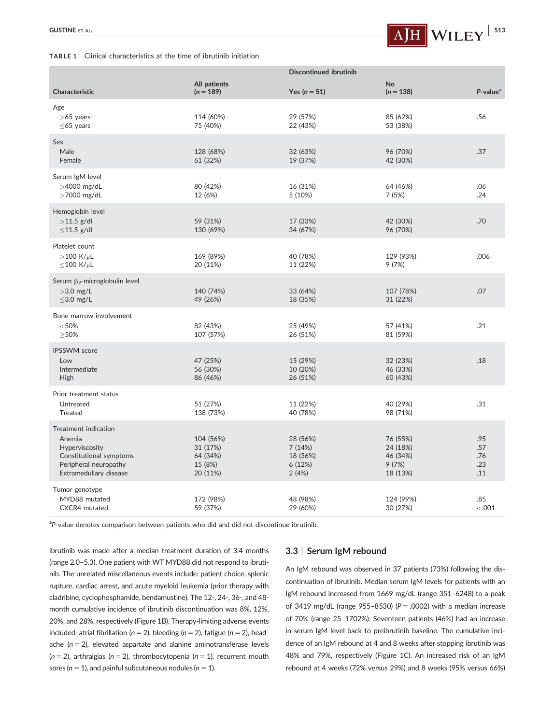#### TABLE 1 Clinical characteristics at the time of ibrutinib initiation



|                                                                                                                                                  |                                                          | <b>Discontinued ibrutinib</b>                     |                                                       |                                 |
|--------------------------------------------------------------------------------------------------------------------------------------------------|----------------------------------------------------------|---------------------------------------------------|-------------------------------------------------------|---------------------------------|
| <b>Characteristic</b>                                                                                                                            | All patients<br>$(n = 189)$                              | Yes ( $n = 51$ )                                  | <b>No</b><br>$(n = 138)$                              | $P$ -value <sup>a</sup>         |
| Age<br>$>65$ years<br>$\leq$ 65 years                                                                                                            | 114 (60%)<br>75 (40%)                                    | 29 (57%)<br>22 (43%)                              | 85 (62%)<br>53 (38%)                                  | .56                             |
| Sex<br>Male<br>Female                                                                                                                            | 128 (68%)<br>61 (32%)                                    | 32 (63%)<br>19 (37%)                              | 96 (70%)<br>42 (30%)                                  | .37                             |
| Serum IgM level<br>$>4000$ mg/dL<br>$>7000$ mg/dL                                                                                                | 80 (42%)<br>12 (6%)                                      | 16 (31%)<br>5 (10%)                               | 64 (46%)<br>7(5%)                                     | .06<br>.24                      |
| Hemoglobin level<br>$>11.5$ g/dl<br>$\leq$ 11.5 g/dl                                                                                             | 59 (31%)<br>130 (69%)                                    | 17 (33%)<br>34 (67%)                              | 42 (30%)<br>96 (70%)                                  | .70                             |
| Platelet count<br>$>100$ K/ $\mu$ L<br>$\leq$ 100 K/µL                                                                                           | 169 (89%)<br>20 (11%)                                    | 40 (78%)<br>11 (22%)                              | 129 (93%)<br>9 (7%)                                   | .006                            |
| Serum $\beta_2$ -microglobulin level<br>$>3.0$ mg/L<br>$\leq$ 3.0 mg/L                                                                           | 140 (74%)<br>49 (26%)                                    | 33 (64%)<br>18 (35%)                              | 107 (78%)<br>31 (22%)                                 | .07                             |
| Bone marrow involvement<br>< 50%<br>>50%                                                                                                         | 82 (43%)<br>107 (57%)                                    | 25 (49%)<br>26 (51%)                              | 57 (41%)<br>81 (59%)                                  | .21                             |
| <b>IPSSWM</b> score<br>Low<br>Intermediate<br>High                                                                                               | 47 (25%)<br>56 (30%)<br>86 (46%)                         | 15 (29%)<br>10 (20%)<br>26 (51%)                  | 32 (23%)<br>46 (33%)<br>60 (43%)                      | .18                             |
| Prior treatment status<br>Untreated<br>Treated                                                                                                   | 51 (27%)<br>138 (73%)                                    | 11 (22%)<br>40 (78%)                              | 40 (29%)<br>98 (71%)                                  | .31                             |
| Treatment indication<br>Anemia<br>Hyperviscosity<br>Constitutional symptoms<br>Peripheral neuropathy<br>Extramedullary disease<br>Tumor genotype | 104 (56%)<br>31 (17%)<br>64 (34%)<br>15 (8%)<br>20 (11%) | 28 (56%)<br>7(14%)<br>18 (36%)<br>6(12%)<br>2(4%) | 76 (55%)<br>24 (18%)<br>46 (34%)<br>9(7%)<br>18 (13%) | .95<br>.57<br>.76<br>.23<br>.11 |
| MYD88 mutated<br>CXCR4 mutated                                                                                                                   | 172 (98%)<br>59 (37%)                                    | 48 (98%)<br>29 (60%)                              | 124 (99%)<br>30 (27%)                                 | .85<br>< .001                   |

<sup>a</sup>P-value denotes comparison between patients who did and did not discontinue ibrutinib.

ibrutinib was made after a median treatment duration of 3.4 months (range 2.0–5.3). One patient with WT MYD88 did not respond to ibrutinib. The unrelated miscellaneous events include: patient choice, splenic rupture, cardiac arrest, and acute myeloid leukemia (prior therapy with cladribine, cyclophosphamide, bendamustine). The 12-, 24-, 36-, and 48 month cumulative incidence of ibrutinib discontinuation was 8%, 12%, 20%, and 28%, respectively (Figure 1B). Therapy-limiting adverse events included: atrial fibrillation ( $n = 2$ ), bleeding ( $n = 2$ ), fatigue ( $n = 2$ ), headache ( $n = 2$ ), elevated aspartate and alanine aminotransferase levels  $(n = 2)$ , arthralgias  $(n = 2)$ , thrombocytopenia  $(n = 1)$ , recurrent mouth sores ( $n = 1$ ), and painful subcutaneous nodules ( $n = 1$ ).

# 3.3 <sup>|</sup> Serum IgM rebound

An IgM rebound was observed in 37 patients (73%) following the discontinuation of ibrutinib. Median serum IgM levels for patients with an IgM rebound increased from 1669 mg/dL (range 351–6248) to a peak of 3419 mg/dL (range 955-8530) ( $P = .0002$ ) with a median increase of 70% (range 25–1702%). Seventeen patients (46%) had an increase in serum IgM level back to preibrutinib baseline. The cumulative incidence of an IgM rebound at 4 and 8 weeks after stopping ibrutinib was 48% and 79%, respectively (Figure 1C). An increased risk of an IgM rebound at 4 weeks (72% versus 29%) and 8 weeks (95% versus 66%)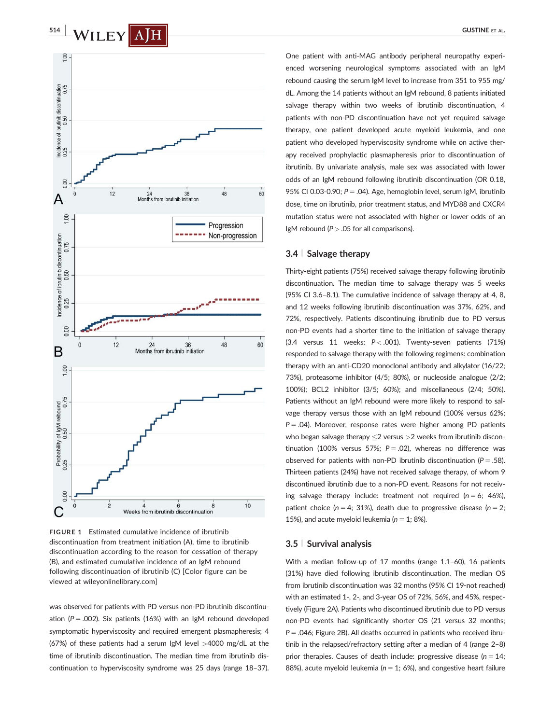



FIGURE 1 Estimated cumulative incidence of ibrutinib discontinuation from treatment initiation (A), time to ibrutinib discontinuation according to the reason for cessation of therapy (B), and estimated cumulative incidence of an IgM rebound following discontinuation of ibrutinib (C) [Color figure can be viewed at [wileyonlinelibrary.com](http://wileyonlinelibrary.com)]

was observed for patients with PD versus non-PD ibrutinib discontinuation ( $P = .002$ ). Six patients (16%) with an IgM rebound developed symptomatic hyperviscosity and required emergent plasmapheresis; 4 (67%) of these patients had a serum IgM level  $>4000$  mg/dL at the time of ibrutinib discontinuation. The median time from ibrutinib discontinuation to hyperviscosity syndrome was 25 days (range 18–37).

One patient with anti-MAG antibody peripheral neuropathy experienced worsening neurological symptoms associated with an IgM rebound causing the serum IgM level to increase from 351 to 955 mg/ dL. Among the 14 patients without an IgM rebound, 8 patients initiated salvage therapy within two weeks of ibrutinib discontinuation, 4 patients with non-PD discontinuation have not yet required salvage therapy, one patient developed acute myeloid leukemia, and one patient who developed hyperviscosity syndrome while on active therapy received prophylactic plasmapheresis prior to discontinuation of ibrutinib. By univariate analysis, male sex was associated with lower odds of an IgM rebound following ibrutinib discontinuation (OR 0.18, 95% CI 0.03-0.90;  $P = .04$ ). Age, hemoglobin level, serum IgM, ibrutinib dose, time on ibrutinib, prior treatment status, and MYD88 and CXCR4 mutation status were not associated with higher or lower odds of an IgM rebound ( $P > .05$  for all comparisons).

#### 3.4 <sup>|</sup> Salvage therapy

Thirty-eight patients (75%) received salvage therapy following ibrutinib discontinuation. The median time to salvage therapy was 5 weeks (95% CI 3.6–8.1). The cumulative incidence of salvage therapy at 4, 8, and 12 weeks following ibrutinib discontinuation was 37%, 62%, and 72%, respectively. Patients discontinuing ibrutinib due to PD versus non-PD events had a shorter time to the initiation of salvage therapy (3.4 versus 11 weeks;  $P < .001$ ). Twenty-seven patients (71%) responded to salvage therapy with the following regimens: combination therapy with an anti-CD20 monoclonal antibody and alkylator (16/22; 73%), proteasome inhibitor (4/5; 80%), or nucleoside analogue (2/2; 100%); BCL2 inhibitor (3/5; 60%); and miscellaneous (2/4; 50%). Patients without an IgM rebound were more likely to respond to salvage therapy versus those with an IgM rebound (100% versus 62%;  $P = .04$ ). Moreover, response rates were higher among PD patients who began salvage therapy  $\leq$  versus  $>$  2 weeks from ibrutinib discontinuation (100% versus 57%;  $P = .02$ ), whereas no difference was observed for patients with non-PD ibrutinib discontinuation ( $P = .58$ ). Thirteen patients (24%) have not received salvage therapy, of whom 9 discontinued ibrutinib due to a non-PD event. Reasons for not receiving salvage therapy include: treatment not required  $(n = 6; 46\%)$ , patient choice ( $n = 4$ ; 31%), death due to progressive disease ( $n = 2$ ; 15%), and acute myeloid leukemia ( $n = 1$ ; 8%).

#### 3.5 <sup>|</sup> Survival analysis

With a median follow-up of 17 months (range 1.1–60), 16 patients (31%) have died following ibrutinib discontinuation. The median OS from ibrutinib discontinuation was 32 months (95% CI 19-not reached) with an estimated 1-, 2-, and 3-year OS of 72%, 56%, and 45%, respectively (Figure 2A). Patients who discontinued ibrutinib due to PD versus non-PD events had significantly shorter OS (21 versus 32 months;  $P = .046$ ; Figure 2B). All deaths occurred in patients who received ibrutinib in the relapsed/refractory setting after a median of 4 (range 2–8) prior therapies. Causes of death include: progressive disease ( $n = 14$ ; 88%), acute myeloid leukemia ( $n = 1$ ; 6%), and congestive heart failure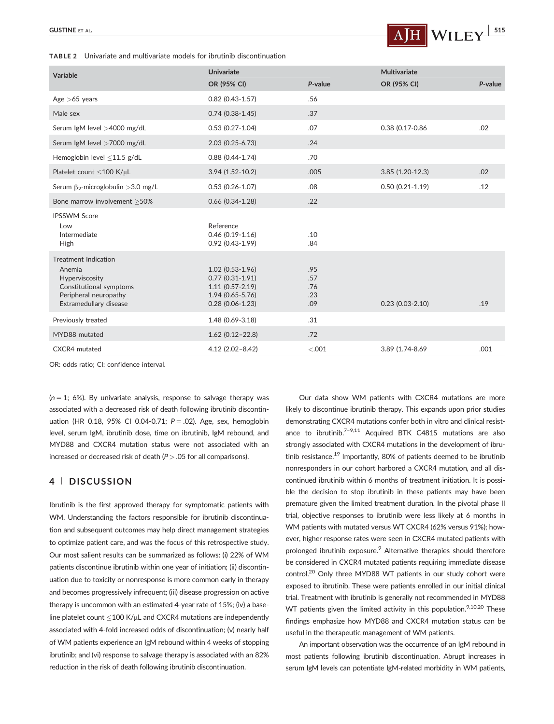TABLE 2 Univariate and multivariate models for ibrutinib discontinuation



| Variable                                                                                                                              | <b>Univariate</b>                                                                                            |                                 | Multivariate        |         |
|---------------------------------------------------------------------------------------------------------------------------------------|--------------------------------------------------------------------------------------------------------------|---------------------------------|---------------------|---------|
|                                                                                                                                       | OR (95% CI)                                                                                                  | P-value                         | OR (95% CI)         | P-value |
| Age $>65$ years                                                                                                                       | $0.82$ (0.43-1.57)                                                                                           | .56                             |                     |         |
| Male sex                                                                                                                              | $0.74(0.38-1.45)$                                                                                            | .37                             |                     |         |
| Serum IgM level >4000 mg/dL                                                                                                           | $0.53(0.27-1.04)$                                                                                            | .07                             | 0.38 (0.17-0.86     | .02     |
| Serum IgM level >7000 mg/dL                                                                                                           | $2.03$ (0.25-6.73)                                                                                           | .24                             |                     |         |
| Hemoglobin level <11.5 g/dL                                                                                                           | $0.88$ (0.44-1.74)                                                                                           | .70                             |                     |         |
| Platelet count <100 K/uL                                                                                                              | $3.94(1.52-10.2)$                                                                                            | .005                            | $3.85(1.20-12.3)$   | .02     |
| Serum $\beta_2$ -microglobulin > 3.0 mg/L                                                                                             | $0.53(0.26 - 1.07)$                                                                                          | .08                             | $0.50(0.21-1.19)$   | .12     |
| Bone marrow involvement > 50%                                                                                                         | $0.66$ $(0.34 - 1.28)$                                                                                       | .22                             |                     |         |
| <b>IPSSWM Score</b><br>Low<br>Intermediate<br>High                                                                                    | Reference<br>$0.46(0.19-1.16)$<br>$0.92(0.43-1.99)$                                                          | .10<br>.84                      |                     |         |
| <b>Treatment Indication</b><br>Anemia<br>Hyperviscosity<br>Constitutional symptoms<br>Peripheral neuropathy<br>Extramedullary disease | $1.02$ (0.53-1.96)<br>$0.77(0.31-1.91)$<br>$1.11(0.57 - 2.19)$<br>$1.94(0.65 - 5.76)$<br>$0.28(0.06 - 1.23)$ | .95<br>.57<br>.76<br>.23<br>.09 | $0.23(0.03 - 2.10)$ | .19     |
| Previously treated                                                                                                                    | 1.48 (0.69-3.18)                                                                                             | .31                             |                     |         |
| MYD88 mutated                                                                                                                         | $1.62$ (0.12-22.8)                                                                                           | .72                             |                     |         |
| CXCR4 mutated                                                                                                                         | $4.12(2.02 - 8.42)$                                                                                          | $-.001$                         | 3.89 (1.74-8.69     | .001    |

OR: odds ratio; CI: confidence interval.

 $(n = 1; 6\%)$ . By univariate analysis, response to salvage therapy was associated with a decreased risk of death following ibrutinib discontinuation (HR 0.18, 95% CI 0.04-0.71;  $P = .02$ ). Age, sex, hemoglobin level, serum IgM, ibrutinib dose, time on ibrutinib, IgM rebound, and MYD88 and CXCR4 mutation status were not associated with an increased or decreased risk of death ( $P > .05$  for all comparisons).

## 4 <sup>|</sup> DISCUSSION

Ibrutinib is the first approved therapy for symptomatic patients with WM. Understanding the factors responsible for ibrutinib discontinuation and subsequent outcomes may help direct management strategies to optimize patient care, and was the focus of this retrospective study. Our most salient results can be summarized as follows: (i) 22% of WM patients discontinue ibrutinib within one year of initiation; (ii) discontinuation due to toxicity or nonresponse is more common early in therapy and becomes progressively infrequent; (iii) disease progression on active therapy is uncommon with an estimated 4-year rate of 15%; (iv) a baseline platelet count  $\leq$ 100 K/ $\mu$ L and CXCR4 mutations are independently associated with 4-fold increased odds of discontinuation; (v) nearly half of WM patients experience an IgM rebound within 4 weeks of stopping ibrutinib; and (vi) response to salvage therapy is associated with an 82% reduction in the risk of death following ibrutinib discontinuation.

Our data show WM patients with CXCR4 mutations are more likely to discontinue ibrutinib therapy. This expands upon prior studies demonstrating CXCR4 mutations confer both in vitro and clinical resistance to ibrutinib. $7-9.11$  Acquired BTK C481S mutations are also strongly associated with CXCR4 mutations in the development of ibrutinib resistance.<sup>19</sup> Importantly, 80% of patients deemed to be ibrutinib nonresponders in our cohort harbored a CXCR4 mutation, and all discontinued ibrutinib within 6 months of treatment initiation. It is possible the decision to stop ibrutinib in these patients may have been premature given the limited treatment duration. In the pivotal phase II trial, objective responses to ibrutinib were less likely at 6 months in WM patients with mutated versus WT CXCR4 (62% versus 91%); however, higher response rates were seen in CXCR4 mutated patients with prolonged ibrutinib exposure.<sup>9</sup> Alternative therapies should therefore be considered in CXCR4 mutated patients requiring immediate disease control.<sup>20</sup> Only three MYD88 WT patients in our study cohort were exposed to ibrutinib. These were patients enrolled in our initial clinical trial. Treatment with ibrutinib is generally not recommended in MYD88 WT patients given the limited activity in this population. $9,10,20$  These findings emphasize how MYD88 and CXCR4 mutation status can be useful in the therapeutic management of WM patients.

An important observation was the occurrence of an IgM rebound in most patients following ibrutinib discontinuation. Abrupt increases in serum IgM levels can potentiate IgM-related morbidity in WM patients,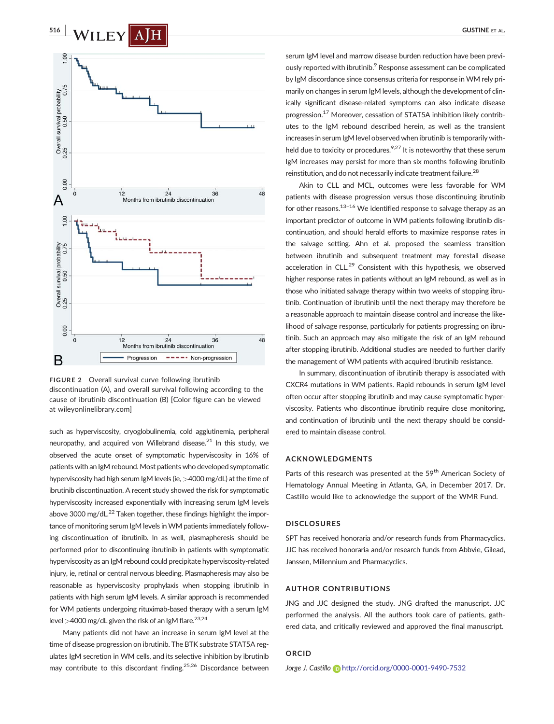



such as hyperviscosity, cryoglobulinemia, cold agglutinemia, peripheral neuropathy, and acquired von Willebrand disease.<sup>21</sup> In this study, we observed the acute onset of symptomatic hyperviscosity in 16% of patients with an IgM rebound. Most patients who developed symptomatic hyperviscosity had high serum IgM levels (ie, >4000 mg/dL) at the time of ibrutinib discontinuation. A recent study showed the risk for symptomatic hyperviscosity increased exponentially with increasing serum IgM levels above 3000 mg/dL $^{22}$  Taken together, these findings highlight the importance of monitoring serum IgM levels in WM patients immediately following discontinuation of ibrutinib. In as well, plasmapheresis should be performed prior to discontinuing ibrutinib in patients with symptomatic hyperviscosity as an IgM rebound could precipitate hyperviscosity-related injury, ie, retinal or central nervous bleeding. Plasmapheresis may also be reasonable as hyperviscosity prophylaxis when stopping ibrutinib in patients with high serum IgM levels. A similar approach is recommended for WM patients undergoing rituximab-based therapy with a serum IgM level >4000 mg/dL given the risk of an IgM flare.<sup>23,24</sup>

Many patients did not have an increase in serum IgM level at the time of disease progression on ibrutinib. The BTK substrate STAT5A regulates IgM secretion in WM cells, and its selective inhibition by ibrutinib may contribute to this discordant finding.<sup>25,26</sup> Discordance between

serum IgM level and marrow disease burden reduction have been previously reported with ibrutinib.<sup>9</sup> Response assessment can be complicated by IgM discordance since consensus criteria for response in WM rely primarily on changes in serum IgM levels, although the development of clinically significant disease-related symptoms can also indicate disease progression.17 Moreover, cessation of STAT5A inhibition likely contributes to the IgM rebound described herein, as well as the transient increases in serum IgM level observed when ibrutinib is temporarily withheld due to toxicity or procedures. $9,27$  It is noteworthy that these serum IgM increases may persist for more than six months following ibrutinib reinstitution, and do not necessarily indicate treatment failure.28

Akin to CLL and MCL, outcomes were less favorable for WM patients with disease progression versus those discontinuing ibrutinib for other reasons. $13-16$  We identified response to salvage therapy as an important predictor of outcome in WM patients following ibrutinib discontinuation, and should herald efforts to maximize response rates in the salvage setting. Ahn et al. proposed the seamless transition between ibrutinib and subsequent treatment may forestall disease acceleration in CLL. $^{29}$  Consistent with this hypothesis, we observed higher response rates in patients without an IgM rebound, as well as in those who initiated salvage therapy within two weeks of stopping ibrutinib. Continuation of ibrutinib until the next therapy may therefore be a reasonable approach to maintain disease control and increase the likelihood of salvage response, particularly for patients progressing on ibrutinib. Such an approach may also mitigate the risk of an IgM rebound after stopping ibrutinib. Additional studies are needed to further clarify the management of WM patients with acquired ibrutinib resistance.

In summary, discontinuation of ibrutinib therapy is associated with CXCR4 mutations in WM patients. Rapid rebounds in serum IgM level often occur after stopping ibrutinib and may cause symptomatic hyperviscosity. Patients who discontinue ibrutinib require close monitoring, and continuation of ibrutinib until the next therapy should be considered to maintain disease control.

## ACKNOWLEDGMENTS

Parts of this research was presented at the 59<sup>th</sup> American Society of Hematology Annual Meeting in Atlanta, GA, in December 2017. Dr. Castillo would like to acknowledge the support of the WMR Fund.

#### DISCLOSURES

SPT has received honoraria and/or research funds from Pharmacyclics. JJC has received honoraria and/or research funds from Abbvie, Gilead, Janssen, Millennium and Pharmacyclics.

## AUTHOR CONTRIBUTIONS

JNG and JJC designed the study. JNG drafted the manuscript. JJC performed the analysis. All the authors took care of patients, gathered data, and critically reviewed and approved the final manuscript.

#### ORCID

Jorge J. Castillo <http://orcid.org/0000-0001-9490-7532>